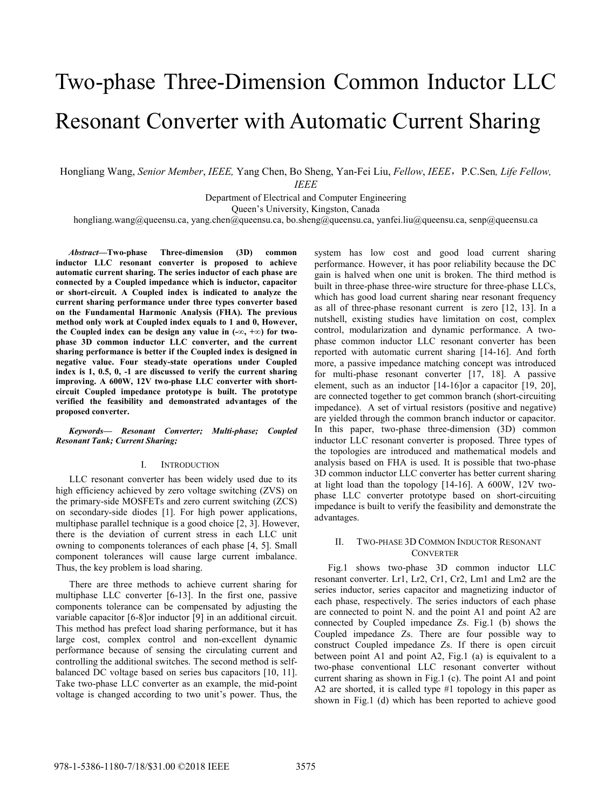# Two-phase Three-Dimension Common Inductor LLC Resonant Converter with Automatic Current Sharing

Hongliang Wang, *Senior Member*, *IEEE,* Yang Chen, Bo Sheng, Yan-Fei Liu, *Fellow*, *IEEE*,P.C.Sen*, Life Fellow,* 

*IEEE*

Department of Electrical and Computer Engineering

Queen's University, Kingston, Canada

hongliang.wang@queensu.ca, yang.chen@queensu.ca, bo.sheng@queensu.ca, yanfei.liu@queensu.ca, senp@queensu.ca

*Abstract***—Two-phase Three-dimension (3D) common inductor LLC resonant converter is proposed to achieve automatic current sharing. The series inductor of each phase are connected by a Coupled impedance which is inductor, capacitor or short-circuit. A Coupled index is indicated to analyze the current sharing performance under three types converter based on the Fundamental Harmonic Analysis (FHA). The previous method only work at Coupled index equals to 1 and 0, However, the Coupled index can be design any value in (-∞, +∞) for twophase 3D common inductor LLC converter, and the current sharing performance is better if the Coupled index is designed in negative value. Four steady-state operations under Coupled index is 1, 0.5, 0, -1 are discussed to verify the current sharing improving. A 600W, 12V two-phase LLC converter with shortcircuit Coupled impedance prototype is built. The prototype verified the feasibility and demonstrated advantages of the proposed converter.** 

*Keywords— Resonant Converter; Multi-phase; Coupled Resonant Tank; Current Sharing;* 

# I. INTRODUCTION

LLC resonant converter has been widely used due to its high efficiency achieved by zero voltage switching (ZVS) on the primary-side MOSFETs and zero current switching (ZCS) on secondary-side diodes [1]. For high power applications, multiphase parallel technique is a good choice [2, 3]. However, there is the deviation of current stress in each LLC unit owning to components tolerances of each phase [4, 5]. Small component tolerances will cause large current imbalance. Thus, the key problem is load sharing.

There are three methods to achieve current sharing for multiphase LLC converter [6-13]. In the first one, passive components tolerance can be compensated by adjusting the variable capacitor [6-8]or inductor [9] in an additional circuit. This method has prefect load sharing performance, but it has large cost, complex control and non-excellent dynamic performance because of sensing the circulating current and controlling the additional switches. The second method is selfbalanced DC voltage based on series bus capacitors [10, 11]. Take two-phase LLC converter as an example, the mid-point voltage is changed according to two unit's power. Thus, the

system has low cost and good load current sharing performance. However, it has poor reliability because the DC gain is halved when one unit is broken. The third method is built in three-phase three-wire structure for three-phase LLCs, which has good load current sharing near resonant frequency as all of three-phase resonant current is zero [12, 13]. In a nutshell, existing studies have limitation on cost, complex control, modularization and dynamic performance. A twophase common inductor LLC resonant converter has been reported with automatic current sharing [14-16]. And forth more, a passive impedance matching concept was introduced for multi-phase resonant converter [17, 18]. A passive element, such as an inductor [14-16]or a capacitor [19, 20], are connected together to get common branch (short-circuiting impedance). A set of virtual resistors (positive and negative) are yielded through the common branch inductor or capacitor. In this paper, two-phase three-dimension (3D) common inductor LLC resonant converter is proposed. Three types of the topologies are introduced and mathematical models and analysis based on FHA is used. It is possible that two-phase 3D common inductor LLC converter has better current sharing at light load than the topology [14-16]. A 600W, 12V twophase LLC converter prototype based on short-circuiting impedance is built to verify the feasibility and demonstrate the advantages.

# II. TWO-PHASE 3D COMMON INDUCTOR RESONANT **CONVERTER**

Fig.1 shows two-phase 3D common inductor LLC resonant converter. Lr1, Lr2, Cr1, Cr2, Lm1 and Lm2 are the series inductor, series capacitor and magnetizing inductor of each phase, respectively. The series inductors of each phase are connected to point N. and the point A1 and point A2 are connected by Coupled impedance Zs. Fig.1 (b) shows the Coupled impedance Zs. There are four possible way to construct Coupled impedance Zs. If there is open circuit between point A1 and point A2, Fig.1 (a) is equivalent to a two-phase conventional LLC resonant converter without current sharing as shown in Fig.1 (c). The point A1 and point A2 are shorted, it is called type #1 topology in this paper as shown in Fig.1 (d) which has been reported to achieve good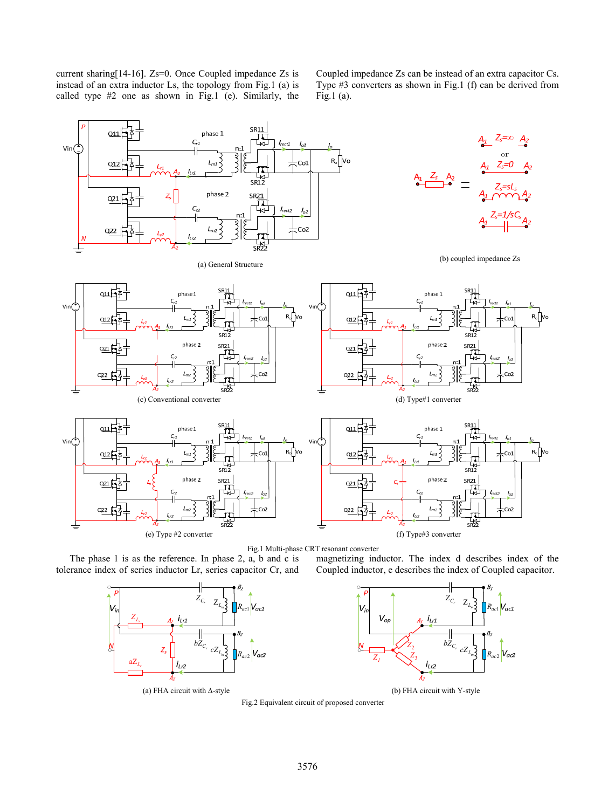current sharing[14-16]. Zs=0. Once Coupled impedance Zs is instead of an extra inductor Ls, the topology from Fig.1 (a) is called type #2 one as shown in Fig.1 (e). Similarly, the

Coupled impedance Zs can be instead of an extra capacitor Cs. Type #3 converters as shown in Fig.1 (f) can be derived from Fig.1 (a).



Fig.1 Multi-phase CRT resonant converter

The phase 1 is as the reference. In phase 2, a, b and c is tolerance index of series inductor Lr, series capacitor Cr, and



 $Z_{C_r}$   $Z_{L_m}$ <sup>1</sup> *Rac*<sup>1</sup>  $V_{ir}$  $V_{of}$  $bZ_c$  $Z_{2}$  $cZ_{L_m}$ *Rac*<sup>2</sup> *Z*3 *Z1*  $i_{L2}$ 

magnetizing inductor. The index d describes index of the Coupled inductor, e describes the index of Coupled capacitor.

(a) FHA circuit with ∆-style (b) FHA circuit with Y-style

Fig.2 Equivalent circuit of proposed converter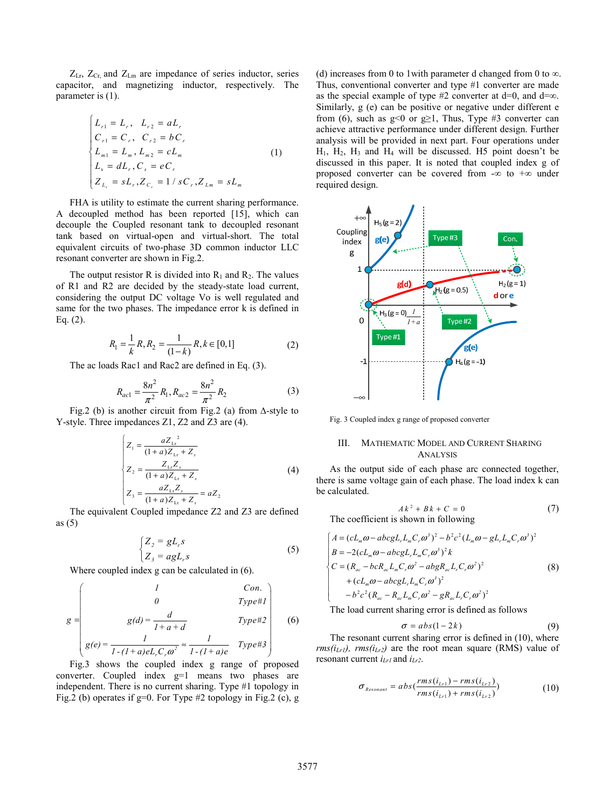$Z_{\text{Lr}}$ ,  $Z_{\text{Cr}}$  and  $Z_{\text{Lm}}$  are impedance of series inductor, series capacitor, and magnetizing inductor, respectively. The parameter is (1).

$$
\begin{cases}\nL_{r1} = L_r, & L_{r2} = aL_r \\
C_{r1} = C_r, & C_{r2} = bC_r \\
L_{m1} = L_m, & L_{m2} = cL_m \\
L_s = dL_r, & C_s = eC_r \\
Z_{L_r} = sL_r, & Z_{C_r} = 1 / sC_r, & Z_{L_m} = sL_m\n\end{cases} (1)
$$

FHA is utility to estimate the current sharing performance. A decoupled method has been reported [15], which can decouple the Coupled resonant tank to decoupled resonant tank based on virtual-open and virtual-short. The total equivalent circuits of two-phase 3D common inductor LLC resonant converter are shown in Fig.2.

The output resistor R is divided into  $R_1$  and  $R_2$ . The values of R1 and R2 are decided by the steady-state load current, considering the output DC voltage Vo is well regulated and same for the two phases. The impedance error k is defined in Eq. (2).

$$
R_1 = \frac{1}{k} R, R_2 = \frac{1}{(1-k)} R, k \in [0,1]
$$
 (2)

The ac loads Rac1 and Rac2 are defined in Eq. (3).

$$
R_{ac1} = \frac{8n^2}{\pi^2} R_1, R_{ac2} = \frac{8n^2}{\pi^2} R_2
$$
 (3)

Fig.2 (b) is another circuit from Fig.2 (a) from ∆-style to Y-style. Three impedances Z1, Z2 and Z3 are (4).

$$
\begin{cases}\nZ_1 = \frac{aZ_{1x}^2}{(1+a)Z_{1x} + Z_s} \\
Z_2 = \frac{Z_{1x}Z_s}{(1+a)Z_{1x} + Z_s} \\
Z_3 = \frac{aZ_{1x}Z_s}{(1+a)Z_{1x} + Z_s} = aZ_2\n\end{cases}
$$
\n(4)

The equivalent Coupled impedance Z2 and Z3 are defined as (5)

$$
\begin{cases}\nZ_2 = gL_r s \\
Z_3 = agL_r s\n\end{cases}
$$
\n(5)

Where coupled index g can be calculated in (6).

$$
g = \begin{pmatrix} l & Con. \\ 0 & Type \# I \\ g(d) = \frac{d}{l+a+d} & Type \# 2 \\ g(e) = \frac{l}{l-(l+a)eL_rC_r\omega^2} \approx \frac{l}{l-(l+a)e} & Type \# 3 \end{pmatrix}
$$
 (6)

Fig.3 shows the coupled index g range of proposed converter. Coupled index g=1 means two phases are independent. There is no current sharing. Type #1 topology in Fig.2 (b) operates if g=0. For Type #2 topology in Fig.2 (c), g (d) increases from 0 to 1with parameter d changed from 0 to  $\infty$ . Thus, conventional converter and type #1 converter are made as the special example of type #2 converter at  $d=0$ , and  $d=\infty$ . Similarly, g (e) can be positive or negative under different e from (6), such as  $g<0$  or  $g\geq1$ , Thus, Type #3 converter can achieve attractive performance under different design. Further analysis will be provided in next part. Four operations under  $H_1$ ,  $H_2$ ,  $H_3$  and  $H_4$  will be discussed. H5 point doesn't be discussed in this paper. It is noted that coupled index g of proposed converter can be covered from -∞ to +∞ under required design.



Fig. 3 Coupled index g range of proposed converter

# III. MATHEMATIC MODEL AND CURRENT SHARING ANALYSIS

As the output side of each phase arc connected together, there is same voltage gain of each phase. The load index k can be calculated.

$$
Ak2 + Bk + C = 0
$$
 (7)  
The coefficient is shown in following

$$
\begin{cases}\nA = (cL_m\omega - abcgL_rL_mC_r\omega^3)^2 - b^2c^2(L_m\omega - gL_rL_mC_r\omega^3)^2 \\
B = -2(cL_m\omega - abcgL_rL_mC_r\omega^3)^2k \\
C = (R_{ac} - bcR_{ac}L_mC_r\omega^2 - abgR_{ac}L_rC_r\omega^2)^2 \\
+ (cL_m\omega - abcgL_rL_mC_r\omega^3)^2 \\
-b^2c^2(R_{ac} - R_{ac}L_mC_r\omega^2 - gR_{ac}L_rC_r\omega^2)^2\n\end{cases} (8)
$$

The load current sharing error is defined as follows

$$
\sigma = abs(1-2k) \tag{9}
$$

The resonant current sharing error is defined in (10), where  $rms(i<sub>Lr1</sub>)$ ,  $rms(i<sub>Lr2</sub>)$  are the root mean square (RMS) value of resonant current *iLr1* and *iLr2*.

$$
\sigma_{\text{Resonant}} = abs(\frac{rms(i_{Lr1}) - rms(i_{Lr2})}{rms(i_{Lr1}) + rms(i_{Lr2})})
$$
(10)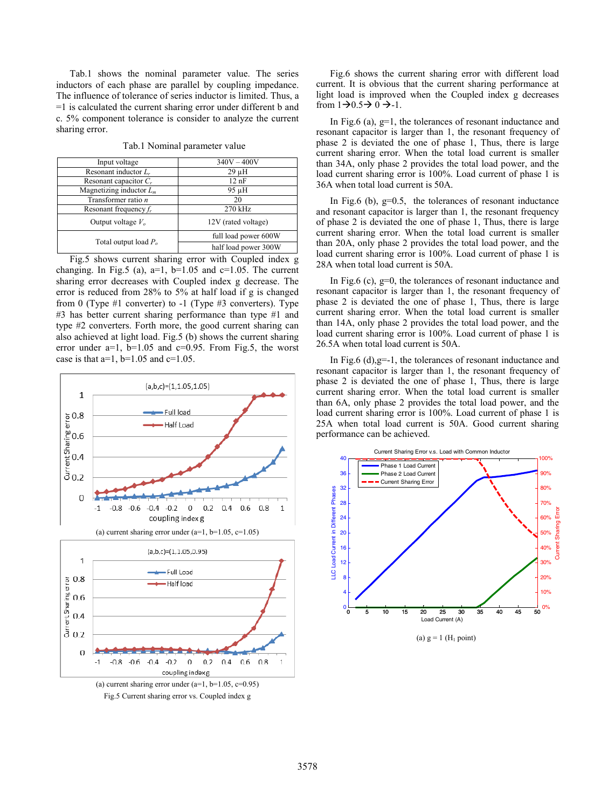Tab.1 shows the nominal parameter value. The series inductors of each phase are parallel by coupling impedance. The influence of tolerance of series inductor is limited. Thus, a =1 is calculated the current sharing error under different b and c. 5% component tolerance is consider to analyze the current sharing error.

| Input voltage              | $340V - 400V$        |
|----------------------------|----------------------|
| Resonant inductor $L_r$    | $29 \mu H$           |
| Resonant capacitor $C_r$   | $12$ nF              |
| Magnetizing inductor $L_m$ | 95 µH                |
| Transformer ratio $n$      | 20                   |
| Resonant frequency $f_r$   | 270 kHz              |
| Output voltage $V_o$       | 12V (rated voltage)  |
| Total output load $P_a$    | full load power 600W |
|                            | half load power 300W |

Tab.1 Nominal parameter value

Fig.5 shows current sharing error with Coupled index g changing. In Fig.5 (a),  $a=1$ ,  $b=1.05$  and  $c=1.05$ . The current sharing error decreases with Coupled index g decrease. The error is reduced from 28% to 5% at half load if g is changed from 0 (Type #1 converter) to -1 (Type #3 converters). Type #3 has better current sharing performance than type #1 and type #2 converters. Forth more, the good current sharing can also achieved at light load. Fig.5 (b) shows the current sharing error under  $a=1$ ,  $b=1.05$  and  $c=0.95$ . From Fig.5, the worst case is that  $a=1$ ,  $b=1.05$  and  $c=1.05$ .



Fig.6 shows the current sharing error with different load current. It is obvious that the current sharing performance at light load is improved when the Coupled index g decreases from  $1\rightarrow 0.5 \rightarrow 0 \rightarrow -1$ .

In Fig.6 (a),  $g=1$ , the tolerances of resonant inductance and resonant capacitor is larger than 1, the resonant frequency of phase 2 is deviated the one of phase 1, Thus, there is large current sharing error. When the total load current is smaller than 34A, only phase 2 provides the total load power, and the load current sharing error is 100%. Load current of phase 1 is 36A when total load current is 50A.

In Fig.6 (b),  $g=0.5$ , the tolerances of resonant inductance and resonant capacitor is larger than 1, the resonant frequency of phase 2 is deviated the one of phase 1, Thus, there is large current sharing error. When the total load current is smaller than 20A, only phase 2 provides the total load power, and the load current sharing error is 100%. Load current of phase 1 is 28A when total load current is 50A.

In Fig.6 (c), g=0, the tolerances of resonant inductance and resonant capacitor is larger than 1, the resonant frequency of phase 2 is deviated the one of phase 1, Thus, there is large current sharing error. When the total load current is smaller than 14A, only phase 2 provides the total load power, and the load current sharing error is 100%. Load current of phase 1 is 26.5A when total load current is 50A.

In Fig.6 (d),  $g=-1$ , the tolerances of resonant inductance and resonant capacitor is larger than 1, the resonant frequency of phase 2 is deviated the one of phase 1, Thus, there is large current sharing error. When the total load current is smaller than 6A, only phase 2 provides the total load power, and the load current sharing error is 100%. Load current of phase 1 is 25A when total load current is 50A. Good current sharing performance can be achieved.

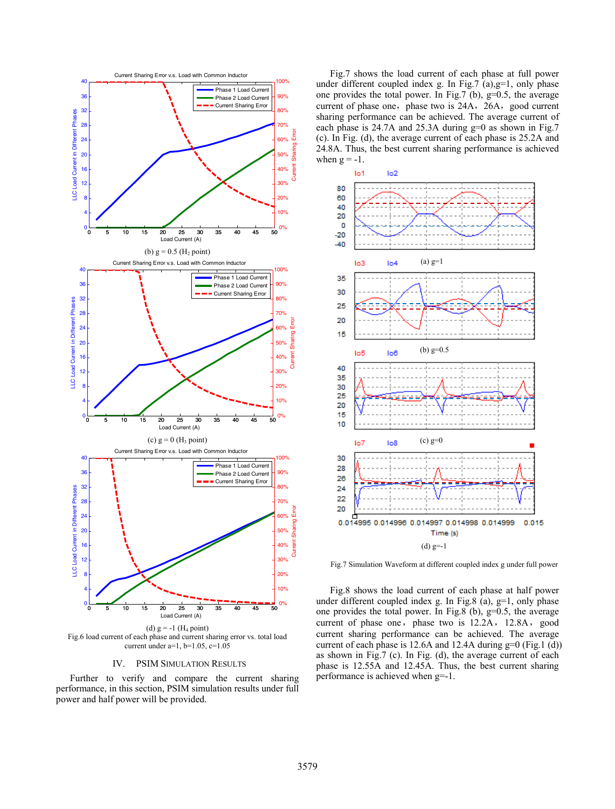

Fig.6 load current of each phase and current sharing error vs. total load current under a=1, b=1.05, c=1.05

#### IV. PSIM SIMULATION RESULTS

Further to verify and compare the current sharing performance, in this section, PSIM simulation results under full power and half power will be provided.

Fig.7 shows the load current of each phase at full power under different coupled index g. In Fig.7  $(a)$ ,  $g=1$ , only phase one provides the total power. In Fig.7 (b), g=0.5, the average current of phase one, phase two is 24A, 26A, good current sharing performance can be achieved. The average current of each phase is 24.7A and 25.3A during g=0 as shown in Fig.7 (c). In Fig. (d), the average current of each phase is 25.2A and 24.8A. Thus, the best current sharing performance is achieved when  $g = -1$ .



Fig.7 Simulation Waveform at different coupled index g under full power

Fig.8 shows the load current of each phase at half power under different coupled index g. In Fig.8 (a),  $g=1$ , only phase one provides the total power. In Fig.8 (b),  $g=0.5$ , the average current of phase one, phase two is  $12.2A$ ,  $12.8A$ , good current sharing performance can be achieved. The average current of each phase is 12.6A and 12.4A during  $g=0$  (Fig.1 (d)) as shown in Fig.7 (c). In Fig. (d), the average current of each phase is 12.55A and 12.45A. Thus, the best current sharing performance is achieved when g=-1.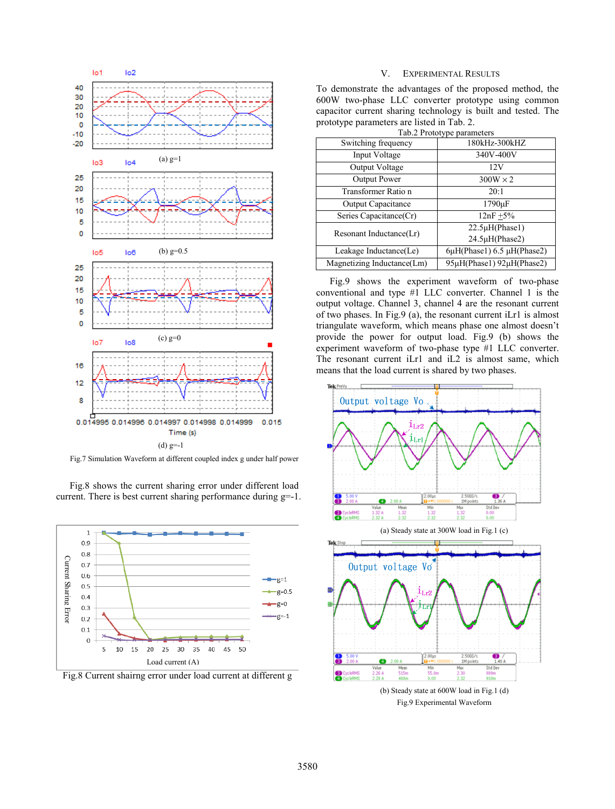

Fig.7 Simulation Waveform at different coupled index g under half power

Fig.8 shows the current sharing error under different load current. There is best current sharing performance during g=-1.



Fig.8 Current shairng error under load current at different g

# V. EXPERIMENTAL RESULTS

To demonstrate the advantages of the proposed method, the 600W two-phase LLC converter prototype using common capacitor current sharing technology is built and tested. The prototype parameters are listed in Tab. 2.

| Tab.2 Prototype parameters |                                      |
|----------------------------|--------------------------------------|
| Switching frequency        | 180kHz-300kHZ                        |
| Input Voltage              | 340V-400V                            |
| Output Voltage             | 12V                                  |
| <b>Output Power</b>        | $300W \times 2$                      |
| Transformer Ratio n        | 20:1                                 |
| <b>Output Capacitance</b>  | $1790 \mu F$                         |
| Series Capacitance(Cr)     | $12nF + 5%$                          |
| Resonant Inductance(Lr)    | $22.5\mu H(Phase1)$                  |
|                            | 24.5µH(Phase2)                       |
| Leakage Inductance(Le)     | $6\mu$ H(Phase1) 6.5 $\mu$ H(Phase2) |
| Magnetizing Inductance(Lm) | 95μH(Phase1) 92μH(Phase2)            |

Fig.9 shows the experiment waveform of two-phase conventional and type #1 LLC converter. Channel 1 is the output voltage. Channel 3, channel 4 are the resonant current of two phases. In Fig.9 (a), the resonant current iLr1 is almost triangulate waveform, which means phase one almost doesn't provide the power for output load. Fig.9 (b) shows the experiment waveform of two-phase type #1 LLC converter. The resonant current iLr1 and iL2 is almost same, which means that the load current is shared by two phases.



(b) Steady state at 600W load in Fig.1 (d) Fig.9 Experimental Waveform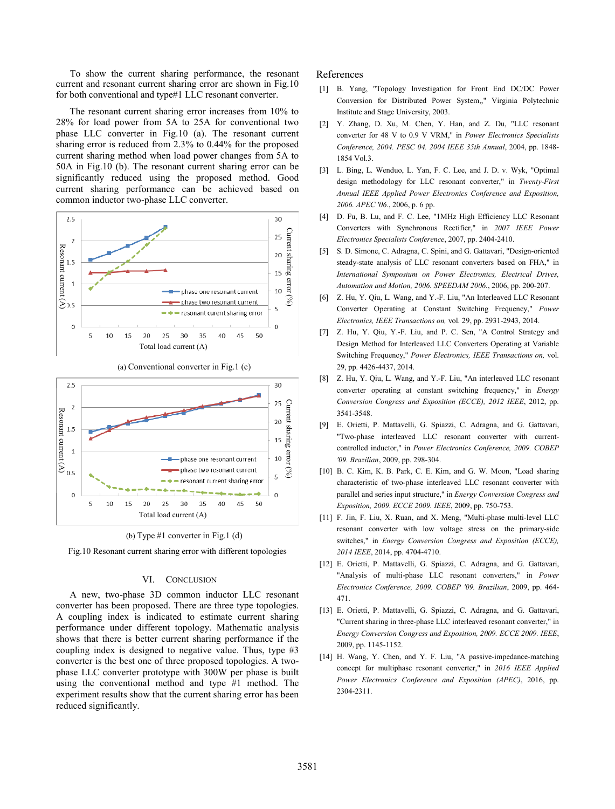To show the current sharing performance, the resonant current and resonant current sharing error are shown in Fig.10 for both conventional and type#1 LLC resonant converter.

The resonant current sharing error increases from 10% to 28% for load power from 5A to 25A for conventional two phase LLC converter in Fig.10 (a). The resonant current sharing error is reduced from 2.3% to 0.44% for the proposed current sharing method when load power changes from 5A to 50A in Fig.10 (b). The resonant current sharing error can be significantly reduced using the proposed method. Good current sharing performance can be achieved based on common inductor two-phase LLC converter.





(b) Type #1 converter in Fig.1 (d)

Fig.10 Resonant current sharing error with different topologies

### VI. CONCLUSION

A new, two-phase 3D common inductor LLC resonant converter has been proposed. There are three type topologies. A coupling index is indicated to estimate current sharing performance under different topology. Mathematic analysis shows that there is better current sharing performance if the coupling index is designed to negative value. Thus, type #3 converter is the best one of three proposed topologies. A twophase LLC converter prototype with 300W per phase is built using the conventional method and type #1 method. The experiment results show that the current sharing error has been reduced significantly.

# References

- [1] B. Yang, "Topology Investigation for Front End DC/DC Power Conversion for Distributed Power System,," Virginia Polytechnic Institute and Stage University, 2003.
- [2] Y. Zhang, D. Xu, M. Chen, Y. Han, and Z. Du, "LLC resonant converter for 48 V to 0.9 V VRM," in *Power Electronics Specialists Conference, 2004. PESC 04. 2004 IEEE 35th Annual*, 2004, pp. 1848- 1854 Vol.3.
- [3] L. Bing, L. Wenduo, L. Yan, F. C. Lee, and J. D. v. Wyk, "Optimal design methodology for LLC resonant converter," in *Twenty-First Annual IEEE Applied Power Electronics Conference and Exposition, 2006. APEC '06.*, 2006, p. 6 pp.
- [4] D. Fu, B. Lu, and F. C. Lee, "1MHz High Efficiency LLC Resonant Converters with Synchronous Rectifier," in *2007 IEEE Power Electronics Specialists Conference*, 2007, pp. 2404-2410.
- [5] S. D. Simone, C. Adragna, C. Spini, and G. Gattavari, "Design-oriented steady-state analysis of LLC resonant converters based on FHA," in *International Symposium on Power Electronics, Electrical Drives, Automation and Motion, 2006. SPEEDAM 2006.*, 2006, pp. 200-207.
- [6] Z. Hu, Y. Qiu, L. Wang, and Y.-F. Liu, "An Interleaved LLC Resonant Converter Operating at Constant Switching Frequency," *Power Electronics, IEEE Transactions on,* vol. 29, pp. 2931-2943, 2014.
- [7] Z. Hu, Y. Qiu, Y.-F. Liu, and P. C. Sen, "A Control Strategy and Design Method for Interleaved LLC Converters Operating at Variable Switching Frequency," *Power Electronics, IEEE Transactions on,* vol. 29, pp. 4426-4437, 2014.
- [8] Z. Hu, Y. Qiu, L. Wang, and Y.-F. Liu, "An interleaved LLC resonant converter operating at constant switching frequency," in *Energy Conversion Congress and Exposition (ECCE), 2012 IEEE*, 2012, pp. 3541-3548.
- [9] E. Orietti, P. Mattavelli, G. Spiazzi, C. Adragna, and G. Gattavari, "Two-phase interleaved LLC resonant converter with currentcontrolled inductor," in *Power Electronics Conference, 2009. COBEP '09. Brazilian*, 2009, pp. 298-304.
- [10] B. C. Kim, K. B. Park, C. E. Kim, and G. W. Moon, "Load sharing characteristic of two-phase interleaved LLC resonant converter with parallel and series input structure," in *Energy Conversion Congress and Exposition, 2009. ECCE 2009. IEEE*, 2009, pp. 750-753.
- [11] F. Jin, F. Liu, X. Ruan, and X. Meng, "Multi-phase multi-level LLC resonant converter with low voltage stress on the primary-side switches," in *Energy Conversion Congress and Exposition (ECCE), 2014 IEEE*, 2014, pp. 4704-4710.
- [12] E. Orietti, P. Mattavelli, G. Spiazzi, C. Adragna, and G. Gattavari, "Analysis of multi-phase LLC resonant converters," in *Power Electronics Conference, 2009. COBEP '09. Brazilian*, 2009, pp. 464- 471.
- [13] E. Orietti, P. Mattavelli, G. Spiazzi, C. Adragna, and G. Gattavari, "Current sharing in three-phase LLC interleaved resonant converter," in *Energy Conversion Congress and Exposition, 2009. ECCE 2009. IEEE*, 2009, pp. 1145-1152.
- [14] H. Wang, Y. Chen, and Y. F. Liu, "A passive-impedance-matching concept for multiphase resonant converter," in *2016 IEEE Applied Power Electronics Conference and Exposition (APEC)*, 2016, pp. 2304-2311.